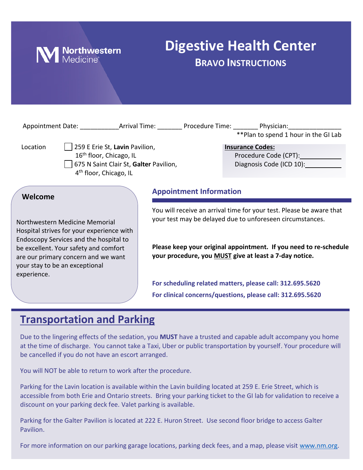

# **Digestive Health Center BRAVO INSTRUCTIONS**

|                                                                                                                         |                                        | Appointment Date: Arrival Time: Procedure Time: Physician:<br>** Plan to spend 1 hour in the GI Lab                               |
|-------------------------------------------------------------------------------------------------------------------------|----------------------------------------|-----------------------------------------------------------------------------------------------------------------------------------|
| 259 E Erie St, Lavin Pavilion,<br>Location<br>16 <sup>th</sup> floor, Chicago, IL<br>4 <sup>th</sup> floor, Chicago, IL | 675 N Saint Clair St, Galter Pavilion, | <b>Insurance Codes:</b><br>Diagnosis Code (ICD 10):                                                                               |
| Welcome                                                                                                                 | <b>Appointment Information</b>         |                                                                                                                                   |
| Northwestern Medicine Memorial<br>Hospital strives for your experience with<br>Endoscopy Services and the hospital to   |                                        | You will receive an arrival time for your test. Please be aware that<br>your test may be delayed due to unforeseen circumstances. |
| be excellent. Your safety and comfort<br>are our primary concern and we want                                            |                                        | Please keep your original appointment. If you need to re-schedule<br>your procedure, you MUST give at least a 7-day notice.       |

**For scheduling related matters, please call: 312.695.5620 For clinical concerns/questions, please call: 312.695.5620**

## **Transportation and Parking**

your stay to be an exceptional

experience.

Due to the lingering effects of the sedation, you **MUST** have a trusted and capable adult accompany you home at the time of discharge. You cannot take a Taxi, Uber or public transportation by yourself. Your procedure will be cancelled if you do not have an escort arranged.

You will NOT be able to return to work after the procedure.

Parking for the Lavin location is available within the Lavin building located at 259 E. Erie Street, which is accessible from both Erie and Ontario streets. Bring your parking ticket to the GI lab for validation to receive a discount on your parking deck fee. Valet parking is available.

Parking for the Galter Pavilion is located at 222 E. Huron Street. Use second floor bridge to access Galter Pavilion.

For more information on our parking garage locations, parking deck fees, and a map, please visit [www.nm.org.](http://www.nm.org/)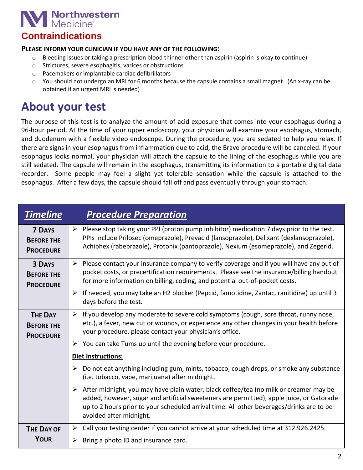

## **Contraindications**

### **PLEASE INFORM YOUR CLINICIAN IF YOU HAVE ANY OF THE FOLLOWING:**

- $\circ$  Bleeding issues or taking a prescription blood thinner other than aspirin (aspirin is okay to continue)
- o Strictures, severe esophagitis, varices or obstructions
- o Pacemakers or implantable cardiac defibrillators
- o You should not undergo an MRI for 6 months because the capsule contains a small magnet. (An x-ray can be obtained if an urgent MRI is needed)

## **About your test**

The purpose of this test is to analyze the amount of acid exposure that comes into your esophagus during a 96-hour period. At the time of your upper endoscopy, your physician will examine your esophagus, stomach, and duodenum with a flexible video endoscope. During the procedure, you are sedated to help you relax. If there are signs in your esophagus from inflammation due to acid, the Bravo procedure will be canceled. If your esophagus looks normal, your physician will attach the capsule to the lining of the esophagus while you are still sedated. The capsule will remain in the esophagus, transmitting its information to a portable digital data recorder. Some people may feel a slight yet tolerable sensation while the capsule is attached to the esophagus. After a few days, the capsule should fall off and pass eventually through your stomach.

| <b>Timeline</b>                                         | <b>Procedure Preparation</b>                                                                                                                                                                                                                                                                               |  |
|---------------------------------------------------------|------------------------------------------------------------------------------------------------------------------------------------------------------------------------------------------------------------------------------------------------------------------------------------------------------------|--|
| <b>7 DAYS</b><br><b>BEFORE THE</b><br><b>PROCEDURE</b>  | $\triangleright$ Please stop taking your PPI (proton pump inhibitor) medication 7 days prior to the test.<br>PPIs include Prilosec (omeprazole), Prevacid (lansoprazole), Delixant (dexlansoprazole),<br>Achiphex (rabeprazole), Protonix (pantoprazole), Nexium (esomeprazole), and Zegerid.              |  |
| <b>3 DAYS</b><br><b>BEFORE THE</b><br><b>PROCEDURE</b>  | $\triangleright$ Please contact your insurance company to verify coverage and if you will have any out of<br>pocket costs, or precertification requirements. Please see the insurance/billing handout<br>for more information on billing, coding, and potential out-of-pocket costs.                       |  |
|                                                         | If needed, you may take an H2 blocker (Pepcid, famotidine, Zantac, ranitidine) up until 3<br>➤<br>days before the test.                                                                                                                                                                                    |  |
| <b>THE DAY</b><br><b>BEFORE THE</b><br><b>PROCEDURE</b> | $\triangleright$ If you develop any moderate to severe cold symptoms (cough, sore throat, runny nose,<br>etc.), a fever, new cut or wounds, or experience any other changes in your health before<br>your procedure, please contact your physician's office.                                               |  |
|                                                         | $\triangleright$ You can take Tums up until the evening before your procedure.                                                                                                                                                                                                                             |  |
|                                                         | <b>Diet Instructions:</b>                                                                                                                                                                                                                                                                                  |  |
|                                                         | Do not eat anything including gum, mints, tobacco, cough drops, or smoke any substance<br>➤<br>(i.e. tobacco, vape, marijuana) after midnight.                                                                                                                                                             |  |
|                                                         | > After midnight, you may have plain water, black coffee/tea (no milk or creamer may be<br>added, however, sugar and artificial sweeteners are permitted), apple juice, or Gatorade<br>up to 2 hours prior to your scheduled arrival time. All other beverages/drinks are to be<br>avoided after midnight. |  |
| <b>THE DAY OF</b>                                       | > Call your testing center if you cannot arrive at your scheduled time at 312.926.2425.                                                                                                                                                                                                                    |  |
| <b>YOUR</b>                                             | Bring a photo ID and insurance card.<br>➤                                                                                                                                                                                                                                                                  |  |